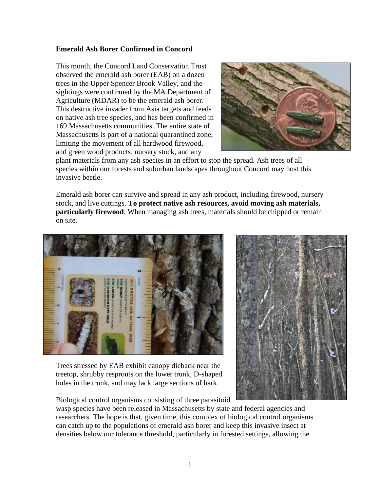## **Emerald Ash Borer Confirmed in Concord**

This month, the Concord Land Conservation Trust observed the emerald ash borer (EAB) on a dozen trees in the Upper Spencer Brook Valley, and the sightings were confirmed by the MA Department of Agriculture (MDAR) to be the emerald ash borer. This destructive invader from Asia targets and feeds on native ash tree species, and has been confirmed in 169 Massachusetts communities. The entire state of Massachusetts is part of a national quarantined zone, limiting the movement of all hardwood firewood, and green wood products, nursery stock, and any



plant materials from any ash species in an effort to stop the spread. Ash trees of all species within our forests and suburban landscapes throughout Concord may host this invasive beetle.

Emerald ash borer can survive and spread in any ash product, including firewood, nursery stock, and live cuttings. **To protect native ash resources, avoid moving ash materials, particularly firewood**. When managing ash trees, materials should be chipped or remain on site.



Trees stressed by EAB exhibit canopy dieback near the treetop, shrubby resprouts on the lower trunk, D-shaped holes in the trunk, and may lack large sections of bark.

Biological control organisms consisting of three parasitoid



wasp species have been released in Massachusetts by state and federal agencies and researchers. The hope is that, given time, this complex of biological control organisms can catch up to the populations of emerald ash borer and keep this invasive insect at densities below our tolerance threshold, particularly in forested settings, allowing the